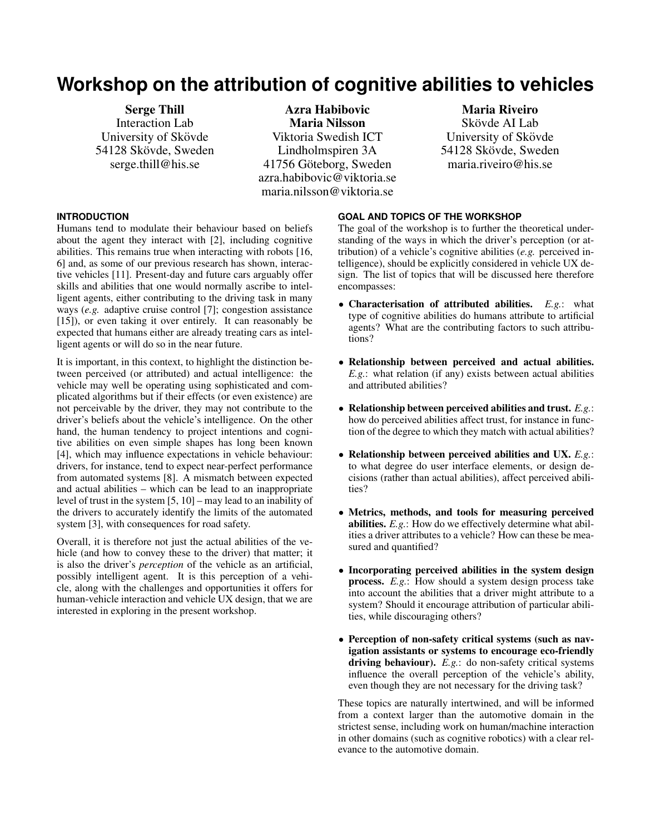# **Workshop on the attribution of cognitive abilities to vehicles**

Serge Thill Interaction Lab University of Skövde 54128 Skövde, Sweden serge.thill@his.se

Azra Habibovic Maria Nilsson Viktoria Swedish ICT Lindholmspiren 3A 41756 Göteborg, Sweden azra.habibovic@viktoria.se maria.nilsson@viktoria.se

# Maria Riveiro

Skövde AI Lab University of Skövde 54128 Skövde, Sweden maria.riveiro@his.se

# **INTRODUCTION**

Humans tend to modulate their behaviour based on beliefs about the agent they interact with [\[2\]](#page-2-0), including cognitive abilities. This remains true when interacting with robots [\[16,](#page-2-1) [6\]](#page-2-2) and, as some of our previous research has shown, interactive vehicles [\[11\]](#page-2-3). Present-day and future cars arguably offer skills and abilities that one would normally ascribe to intelligent agents, either contributing to the driving task in many ways (*e.g.* adaptive cruise control [\[7\]](#page-2-4); congestion assistance [\[15\]](#page-2-5)), or even taking it over entirely. It can reasonably be expected that humans either are already treating cars as intelligent agents or will do so in the near future.

It is important, in this context, to highlight the distinction between perceived (or attributed) and actual intelligence: the vehicle may well be operating using sophisticated and complicated algorithms but if their effects (or even existence) are not perceivable by the driver, they may not contribute to the driver's beliefs about the vehicle's intelligence. On the other hand, the human tendency to project intentions and cognitive abilities on even simple shapes has long been known [\[4\]](#page-2-6), which may influence expectations in vehicle behaviour: drivers, for instance, tend to expect near-perfect performance from automated systems [\[8\]](#page-2-7). A mismatch between expected and actual abilities – which can be lead to an inappropriate level of trust in the system [\[5,](#page-2-8) [10\]](#page-2-9) – may lead to an inability of the drivers to accurately identify the limits of the automated system [\[3\]](#page-2-10), with consequences for road safety.

Overall, it is therefore not just the actual abilities of the vehicle (and how to convey these to the driver) that matter; it is also the driver's *perception* of the vehicle as an artificial, possibly intelligent agent. It is this perception of a vehicle, along with the challenges and opportunities it offers for human-vehicle interaction and vehicle UX design, that we are interested in exploring in the present workshop.

# **GOAL AND TOPICS OF THE WORKSHOP**

The goal of the workshop is to further the theoretical understanding of the ways in which the driver's perception (or attribution) of a vehicle's cognitive abilities (*e.g.* perceived intelligence), should be explicitly considered in vehicle UX design. The list of topics that will be discussed here therefore encompasses:

- Characterisation of attributed abilities. *E.g.*: what type of cognitive abilities do humans attribute to artificial agents? What are the contributing factors to such attributions?
- Relationship between perceived and actual abilities. *E.g.*: what relation (if any) exists between actual abilities and attributed abilities?
- Relationship between perceived abilities and trust. *E.g.*: how do perceived abilities affect trust, for instance in function of the degree to which they match with actual abilities?
- Relationship between perceived abilities and UX. *E.g.*: to what degree do user interface elements, or design decisions (rather than actual abilities), affect perceived abilities?
- Metrics, methods, and tools for measuring perceived abilities. *E.g.*: How do we effectively determine what abilities a driver attributes to a vehicle? How can these be measured and quantified?
- Incorporating perceived abilities in the system design **process.** *E.g.*: How should a system design process take into account the abilities that a driver might attribute to a system? Should it encourage attribution of particular abilities, while discouraging others?
- Perception of non-safety critical systems (such as navigation assistants or systems to encourage eco-friendly driving behaviour). *E.g.*: do non-safety critical systems influence the overall perception of the vehicle's ability, even though they are not necessary for the driving task?

These topics are naturally intertwined, and will be informed from a context larger than the automotive domain in the strictest sense, including work on human/machine interaction in other domains (such as cognitive robotics) with a clear relevance to the automotive domain.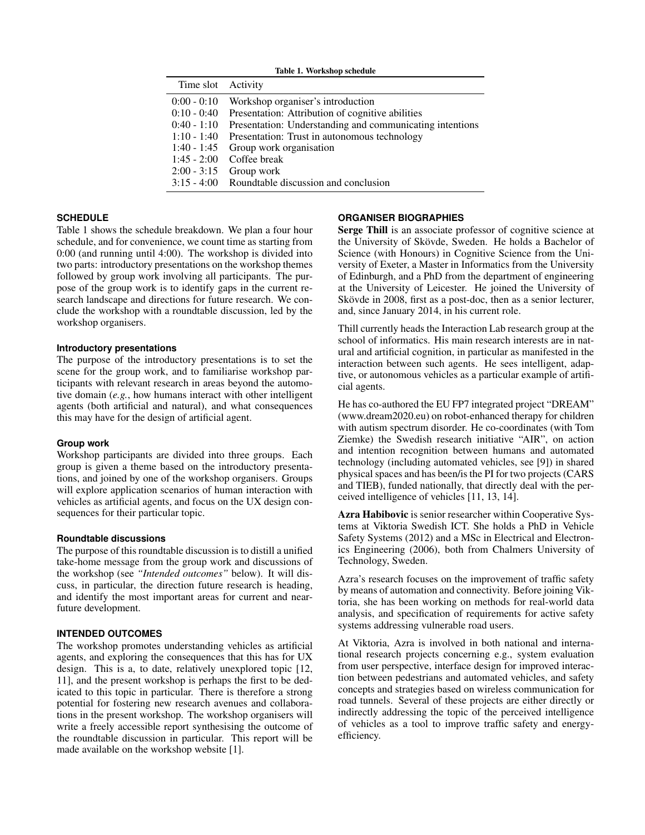| Time slot Activity                                                                                 |                                                                                                                                                                                                                                                                                                                                |
|----------------------------------------------------------------------------------------------------|--------------------------------------------------------------------------------------------------------------------------------------------------------------------------------------------------------------------------------------------------------------------------------------------------------------------------------|
| $0:00 - 0:10$<br>$0:10 - 0:40$<br>$0:40 - 1:10$<br>$1:10 - 1:40$<br>$1:40 - 1:45$<br>$1:45 - 2:00$ | Workshop organiser's introduction<br>Presentation: Attribution of cognitive abilities<br>Presentation: Understanding and communicating intentions<br>Presentation: Trust in autonomous technology<br>Group work organisation<br>Coffee break<br>$2:00 - 3:15$ Group work<br>$3:15 - 4:00$ Roundtable discussion and conclusion |
|                                                                                                    |                                                                                                                                                                                                                                                                                                                                |

<span id="page-1-0"></span>Table 1. Workshop schedule

## **SCHEDULE**

Table [1](#page-1-0) shows the schedule breakdown. We plan a four hour schedule, and for convenience, we count time as starting from 0:00 (and running until 4:00). The workshop is divided into two parts: introductory presentations on the workshop themes followed by group work involving all participants. The purpose of the group work is to identify gaps in the current research landscape and directions for future research. We conclude the workshop with a roundtable discussion, led by the workshop organisers.

### **Introductory presentations**

The purpose of the introductory presentations is to set the scene for the group work, and to familiarise workshop participants with relevant research in areas beyond the automotive domain (*e.g.*, how humans interact with other intelligent agents (both artificial and natural), and what consequences this may have for the design of artificial agent.

#### **Group work**

Workshop participants are divided into three groups. Each group is given a theme based on the introductory presentations, and joined by one of the workshop organisers. Groups will explore application scenarios of human interaction with vehicles as artificial agents, and focus on the UX design consequences for their particular topic.

#### **Roundtable discussions**

The purpose of this roundtable discussion is to distill a unified take-home message from the group work and discussions of the workshop (see *"Intended outcomes"* below). It will discuss, in particular, the direction future research is heading, and identify the most important areas for current and nearfuture development.

#### **INTENDED OUTCOMES**

The workshop promotes understanding vehicles as artificial agents, and exploring the consequences that this has for UX design. This is a, to date, relatively unexplored topic [\[12,](#page-2-11) [11\]](#page-2-3), and the present workshop is perhaps the first to be dedicated to this topic in particular. There is therefore a strong potential for fostering new research avenues and collaborations in the present workshop. The workshop organisers will write a freely accessible report synthesising the outcome of the roundtable discussion in particular. This report will be made available on the workshop website [\[1\]](#page-2-12).

#### **ORGANISER BIOGRAPHIES**

Serge Thill is an associate professor of cognitive science at the University of Skövde, Sweden. He holds a Bachelor of Science (with Honours) in Cognitive Science from the University of Exeter, a Master in Informatics from the University of Edinburgh, and a PhD from the department of engineering at the University of Leicester. He joined the University of Skövde in 2008, first as a post-doc, then as a senior lecturer, and, since January 2014, in his current role.

Thill currently heads the Interaction Lab research group at the school of informatics. His main research interests are in natural and artificial cognition, in particular as manifested in the interaction between such agents. He sees intelligent, adaptive, or autonomous vehicles as a particular example of artificial agents.

He has co-authored the EU FP7 integrated project "DREAM" (www.dream2020.eu) on robot-enhanced therapy for children with autism spectrum disorder. He co-coordinates (with Tom Ziemke) the Swedish research initiative "AIR", on action and intention recognition between humans and automated technology (including automated vehicles, see [\[9\]](#page-2-13)) in shared physical spaces and has been/is the PI for two projects (CARS and TIEB), funded nationally, that directly deal with the perceived intelligence of vehicles [\[11,](#page-2-3) [13,](#page-2-14) [14\]](#page-2-15).

Azra Habibovic is senior researcher within Cooperative Systems at Viktoria Swedish ICT. She holds a PhD in Vehicle Safety Systems (2012) and a MSc in Electrical and Electronics Engineering (2006), both from Chalmers University of Technology, Sweden.

Azra's research focuses on the improvement of traffic safety by means of automation and connectivity. Before joining Viktoria, she has been working on methods for real-world data analysis, and specification of requirements for active safety systems addressing vulnerable road users.

At Viktoria, Azra is involved in both national and international research projects concerning e.g., system evaluation from user perspective, interface design for improved interaction between pedestrians and automated vehicles, and safety concepts and strategies based on wireless communication for road tunnels. Several of these projects are either directly or indirectly addressing the topic of the perceived intelligence of vehicles as a tool to improve traffic safety and energyefficiency.